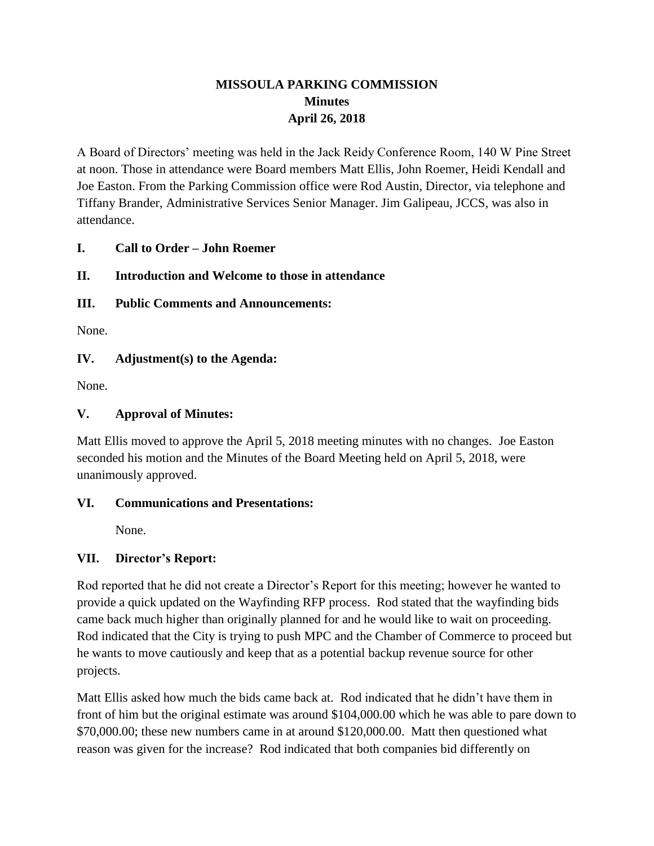# **MISSOULA PARKING COMMISSION Minutes April 26, 2018**

A Board of Directors' meeting was held in the Jack Reidy Conference Room, 140 W Pine Street at noon. Those in attendance were Board members Matt Ellis, John Roemer, Heidi Kendall and Joe Easton. From the Parking Commission office were Rod Austin, Director, via telephone and Tiffany Brander, Administrative Services Senior Manager. Jim Galipeau, JCCS, was also in attendance.

### **I. Call to Order – John Roemer**

# **II. Introduction and Welcome to those in attendance**

### **III. Public Comments and Announcements:**

None.

### **IV. Adjustment(s) to the Agenda:**

None.

### **V. Approval of Minutes:**

Matt Ellis moved to approve the April 5, 2018 meeting minutes with no changes. Joe Easton seconded his motion and the Minutes of the Board Meeting held on April 5, 2018, were unanimously approved.

#### **VI. Communications and Presentations:**

None.

# **VII. Director's Report:**

Rod reported that he did not create a Director's Report for this meeting; however he wanted to provide a quick updated on the Wayfinding RFP process. Rod stated that the wayfinding bids came back much higher than originally planned for and he would like to wait on proceeding. Rod indicated that the City is trying to push MPC and the Chamber of Commerce to proceed but he wants to move cautiously and keep that as a potential backup revenue source for other projects.

Matt Ellis asked how much the bids came back at. Rod indicated that he didn't have them in front of him but the original estimate was around \$104,000.00 which he was able to pare down to \$70,000.00; these new numbers came in at around \$120,000.00. Matt then questioned what reason was given for the increase? Rod indicated that both companies bid differently on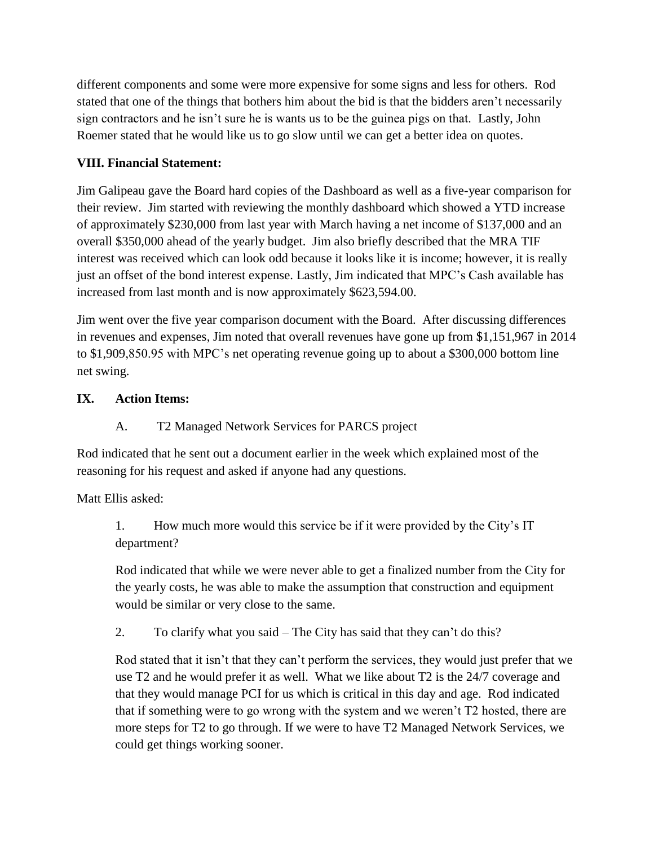different components and some were more expensive for some signs and less for others. Rod stated that one of the things that bothers him about the bid is that the bidders aren't necessarily sign contractors and he isn't sure he is wants us to be the guinea pigs on that. Lastly, John Roemer stated that he would like us to go slow until we can get a better idea on quotes.

# **VIII. Financial Statement:**

Jim Galipeau gave the Board hard copies of the Dashboard as well as a five-year comparison for their review. Jim started with reviewing the monthly dashboard which showed a YTD increase of approximately \$230,000 from last year with March having a net income of \$137,000 and an overall \$350,000 ahead of the yearly budget. Jim also briefly described that the MRA TIF interest was received which can look odd because it looks like it is income; however, it is really just an offset of the bond interest expense. Lastly, Jim indicated that MPC's Cash available has increased from last month and is now approximately \$623,594.00.

Jim went over the five year comparison document with the Board. After discussing differences in revenues and expenses, Jim noted that overall revenues have gone up from \$1,151,967 in 2014 to \$1,909,850.95 with MPC's net operating revenue going up to about a \$300,000 bottom line net swing.

# **IX. Action Items:**

# A. T2 Managed Network Services for PARCS project

Rod indicated that he sent out a document earlier in the week which explained most of the reasoning for his request and asked if anyone had any questions.

Matt Ellis asked:

1. How much more would this service be if it were provided by the City's IT department?

Rod indicated that while we were never able to get a finalized number from the City for the yearly costs, he was able to make the assumption that construction and equipment would be similar or very close to the same.

2. To clarify what you said – The City has said that they can't do this?

Rod stated that it isn't that they can't perform the services, they would just prefer that we use T2 and he would prefer it as well. What we like about T2 is the 24/7 coverage and that they would manage PCI for us which is critical in this day and age. Rod indicated that if something were to go wrong with the system and we weren't T2 hosted, there are more steps for T2 to go through. If we were to have T2 Managed Network Services, we could get things working sooner.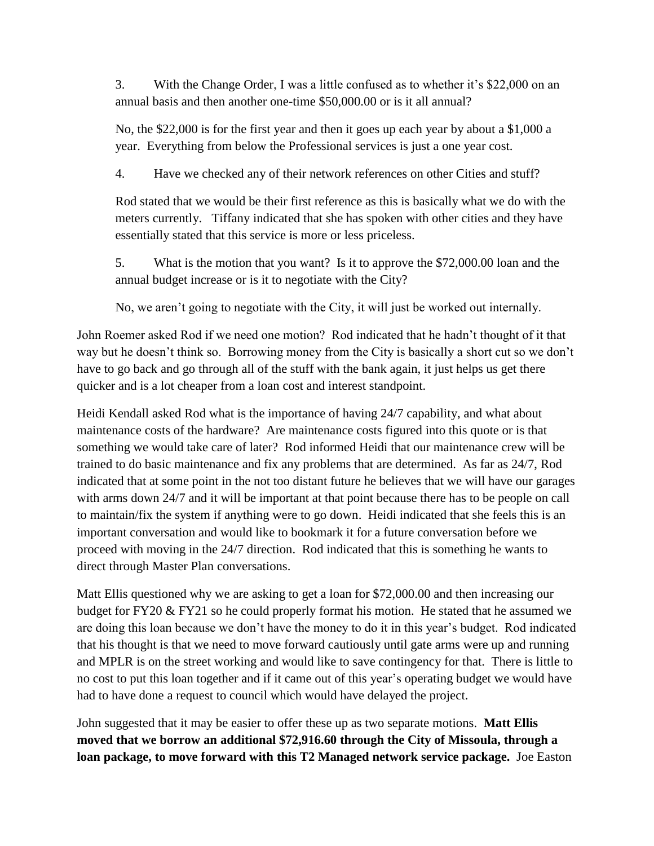3. With the Change Order, I was a little confused as to whether it's \$22,000 on an annual basis and then another one-time \$50,000.00 or is it all annual?

No, the \$22,000 is for the first year and then it goes up each year by about a \$1,000 a year. Everything from below the Professional services is just a one year cost.

4. Have we checked any of their network references on other Cities and stuff?

Rod stated that we would be their first reference as this is basically what we do with the meters currently. Tiffany indicated that she has spoken with other cities and they have essentially stated that this service is more or less priceless.

5. What is the motion that you want? Is it to approve the \$72,000.00 loan and the annual budget increase or is it to negotiate with the City?

No, we aren't going to negotiate with the City, it will just be worked out internally.

John Roemer asked Rod if we need one motion? Rod indicated that he hadn't thought of it that way but he doesn't think so. Borrowing money from the City is basically a short cut so we don't have to go back and go through all of the stuff with the bank again, it just helps us get there quicker and is a lot cheaper from a loan cost and interest standpoint.

Heidi Kendall asked Rod what is the importance of having 24/7 capability, and what about maintenance costs of the hardware? Are maintenance costs figured into this quote or is that something we would take care of later? Rod informed Heidi that our maintenance crew will be trained to do basic maintenance and fix any problems that are determined. As far as 24/7, Rod indicated that at some point in the not too distant future he believes that we will have our garages with arms down 24/7 and it will be important at that point because there has to be people on call to maintain/fix the system if anything were to go down. Heidi indicated that she feels this is an important conversation and would like to bookmark it for a future conversation before we proceed with moving in the 24/7 direction. Rod indicated that this is something he wants to direct through Master Plan conversations.

Matt Ellis questioned why we are asking to get a loan for \$72,000.00 and then increasing our budget for FY20 & FY21 so he could properly format his motion. He stated that he assumed we are doing this loan because we don't have the money to do it in this year's budget. Rod indicated that his thought is that we need to move forward cautiously until gate arms were up and running and MPLR is on the street working and would like to save contingency for that. There is little to no cost to put this loan together and if it came out of this year's operating budget we would have had to have done a request to council which would have delayed the project.

John suggested that it may be easier to offer these up as two separate motions. **Matt Ellis moved that we borrow an additional \$72,916.60 through the City of Missoula, through a loan package, to move forward with this T2 Managed network service package.** Joe Easton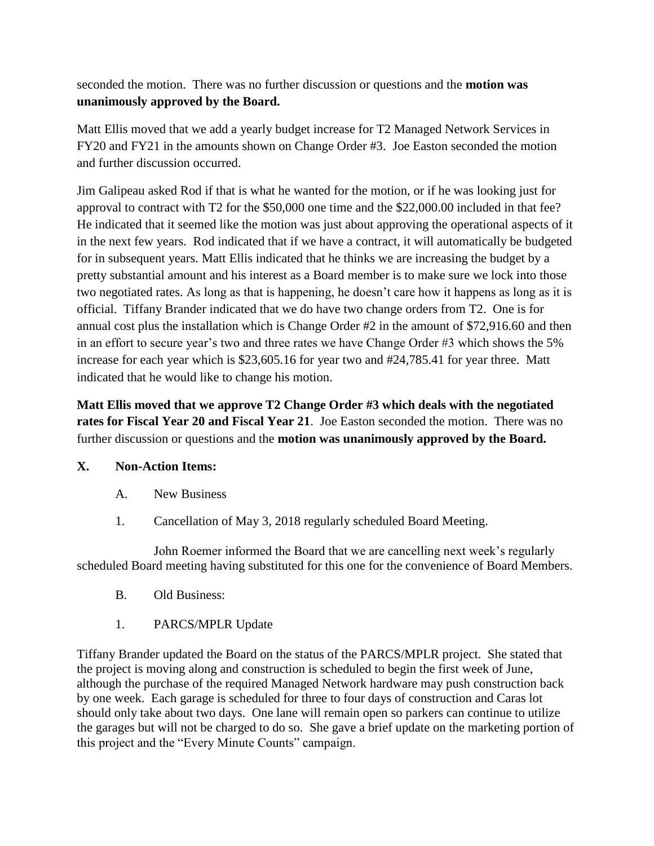seconded the motion. There was no further discussion or questions and the **motion was unanimously approved by the Board.**

Matt Ellis moved that we add a yearly budget increase for T2 Managed Network Services in FY20 and FY21 in the amounts shown on Change Order #3.Joe Easton seconded the motion and further discussion occurred.

Jim Galipeau asked Rod if that is what he wanted for the motion, or if he was looking just for approval to contract with T2 for the \$50,000 one time and the \$22,000.00 included in that fee? He indicated that it seemed like the motion was just about approving the operational aspects of it in the next few years. Rod indicated that if we have a contract, it will automatically be budgeted for in subsequent years. Matt Ellis indicated that he thinks we are increasing the budget by a pretty substantial amount and his interest as a Board member is to make sure we lock into those two negotiated rates. As long as that is happening, he doesn't care how it happens as long as it is official. Tiffany Brander indicated that we do have two change orders from T2. One is for annual cost plus the installation which is Change Order #2 in the amount of \$72,916.60 and then in an effort to secure year's two and three rates we have Change Order #3 which shows the 5% increase for each year which is \$23,605.16 for year two and #24,785.41 for year three. Matt indicated that he would like to change his motion.

**Matt Ellis moved that we approve T2 Change Order #3 which deals with the negotiated rates for Fiscal Year 20 and Fiscal Year 21**. Joe Easton seconded the motion. There was no further discussion or questions and the **motion was unanimously approved by the Board.**

#### **X. Non-Action Items:**

- A. New Business
- 1. Cancellation of May 3, 2018 regularly scheduled Board Meeting.

John Roemer informed the Board that we are cancelling next week's regularly scheduled Board meeting having substituted for this one for the convenience of Board Members.

- B. Old Business:
- 1. PARCS/MPLR Update

Tiffany Brander updated the Board on the status of the PARCS/MPLR project. She stated that the project is moving along and construction is scheduled to begin the first week of June, although the purchase of the required Managed Network hardware may push construction back by one week. Each garage is scheduled for three to four days of construction and Caras lot should only take about two days. One lane will remain open so parkers can continue to utilize the garages but will not be charged to do so. She gave a brief update on the marketing portion of this project and the "Every Minute Counts" campaign.